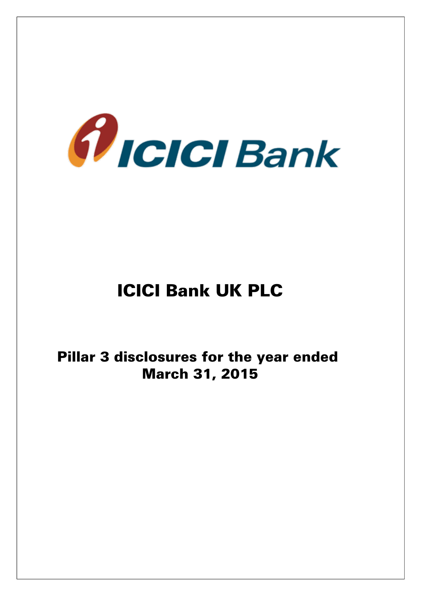

# ICICI Bank UK PLC

Pillar 3 disclosures for the year ended March 31, 2015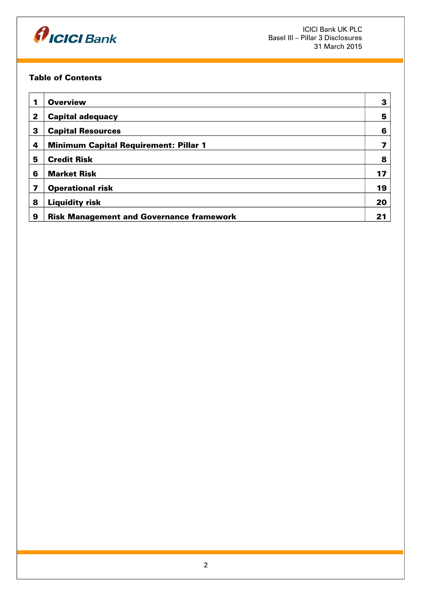

# Table of Contents

| 1 | <b>Overview</b>                                 | З  |
|---|-------------------------------------------------|----|
| 2 | <b>Capital adequacy</b>                         | 5  |
| 3 | <b>Capital Resources</b>                        | 6  |
| 4 | <b>Minimum Capital Requirement: Pillar 1</b>    | 7  |
| 5 | <b>Credit Risk</b>                              | 8  |
| 6 | <b>Market Risk</b>                              | 17 |
| 7 | <b>Operational risk</b>                         | 19 |
| 8 | <b>Liquidity risk</b>                           | 20 |
| 9 | <b>Risk Management and Governance framework</b> | 21 |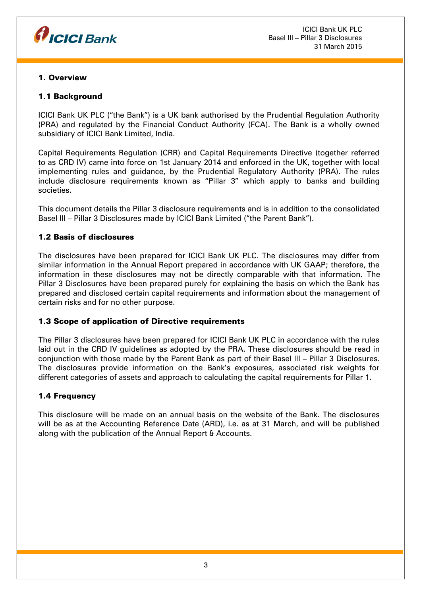

## 1. Overview

# 1.1 Background

ICICI Bank UK PLC ("the Bank") is a UK bank authorised by the Prudential Regulation Authority (PRA) and regulated by the Financial Conduct Authority (FCA). The Bank is a wholly owned subsidiary of ICICI Bank Limited, India.

Capital Requirements Regulation (CRR) and Capital Requirements Directive (together referred to as CRD IV) came into force on 1st January 2014 and enforced in the UK, together with local implementing rules and guidance, by the Prudential Regulatory Authority (PRA). The rules include disclosure requirements known as "Pillar 3" which apply to banks and building societies.

This document details the Pillar 3 disclosure requirements and is in addition to the consolidated Basel III – Pillar 3 Disclosures made by ICICI Bank Limited ("the Parent Bank").

## 1.2 Basis of disclosures

The disclosures have been prepared for ICICI Bank UK PLC. The disclosures may differ from similar information in the Annual Report prepared in accordance with UK GAAP; therefore, the information in these disclosures may not be directly comparable with that information. The Pillar 3 Disclosures have been prepared purely for explaining the basis on which the Bank has prepared and disclosed certain capital requirements and information about the management of certain risks and for no other purpose.

# 1.3 Scope of application of Directive requirements

The Pillar 3 disclosures have been prepared for ICICI Bank UK PLC in accordance with the rules laid out in the CRD IV guidelines as adopted by the PRA. These disclosures should be read in conjunction with those made by the Parent Bank as part of their Basel III – Pillar 3 Disclosures. The disclosures provide information on the Bank's exposures, associated risk weights for different categories of assets and approach to calculating the capital requirements for Pillar 1.

# 1.4 Frequency

This disclosure will be made on an annual basis on the website of the Bank. The disclosures will be as at the Accounting Reference Date (ARD), i.e. as at 31 March, and will be published along with the publication of the Annual Report & Accounts.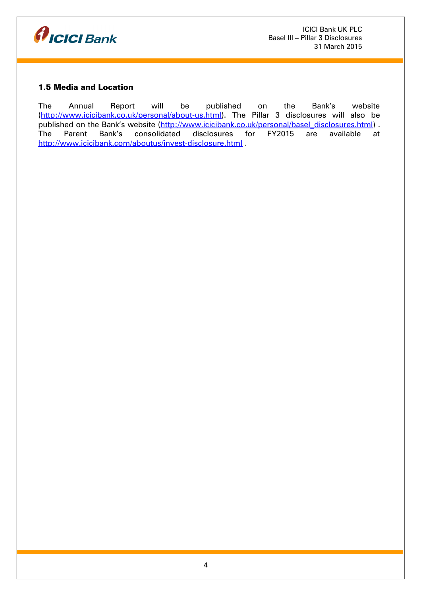

# 1.5 Media and Location

The Annual Report will be published on the Bank's website [\(http://www.icicibank.co.uk/personal/about-us.html\)](http://www.icicibank.co.uk/personal/about-us.html). The Pillar 3 disclosures will also be published on the Bank's website [\(http://www.icicibank.co.uk/personal/basel\\_disclosures.html\)](http://www.icicibank.co.uk/personal/basel_disclosures.html) . The Parent Bank's consolidated disclosures for FY2015 are available at <http://www.icicibank.com/aboutus/invest-disclosure.html>.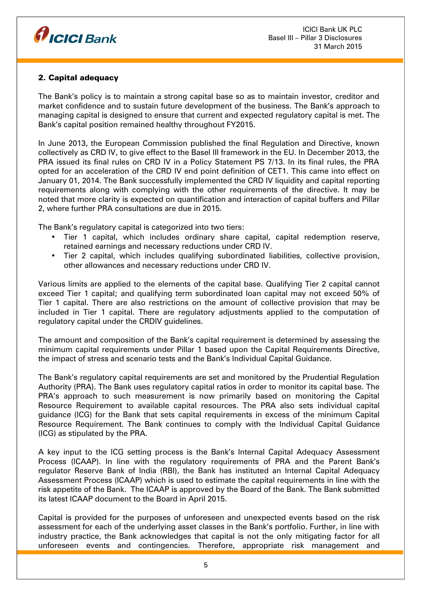

# 2. Capital adequacy

The Bank's policy is to maintain a strong capital base so as to maintain investor, creditor and market confidence and to sustain future development of the business. The Bank's approach to managing capital is designed to ensure that current and expected regulatory capital is met. The Bank's capital position remained healthy throughout FY2015.

In June 2013, the European Commission published the final Regulation and Directive, known collectively as CRD IV, to give effect to the Basel III framework in the EU. In December 2013, the PRA issued its final rules on CRD IV in a Policy Statement PS 7/13. In its final rules, the PRA opted for an acceleration of the CRD IV end point definition of CET1. This came into effect on January 01, 2014. The Bank successfully implemented the CRD IV liquidity and capital reporting requirements along with complying with the other requirements of the directive. It may be noted that more clarity is expected on quantification and interaction of capital buffers and Pillar 2, where further PRA consultations are due in 2015.

The Bank's regulatory capital is categorized into two tiers:

- Tier 1 capital, which includes ordinary share capital, capital redemption reserve, retained earnings and necessary reductions under CRD IV.
- Tier 2 capital, which includes qualifying subordinated liabilities, collective provision, other allowances and necessary reductions under CRD IV.

Various limits are applied to the elements of the capital base. Qualifying Tier 2 capital cannot exceed Tier 1 capital; and qualifying term subordinated loan capital may not exceed 50% of Tier 1 capital. There are also restrictions on the amount of collective provision that may be included in Tier 1 capital. There are regulatory adjustments applied to the computation of regulatory capital under the CRDIV guidelines.

The amount and composition of the Bank's capital requirement is determined by assessing the minimum capital requirements under Pillar 1 based upon the Capital Requirements Directive, the impact of stress and scenario tests and the Bank's Individual Capital Guidance.

The Bank's regulatory capital requirements are set and monitored by the Prudential Regulation Authority (PRA). The Bank uses regulatory capital ratios in order to monitor its capital base. The PRA's approach to such measurement is now primarily based on monitoring the Capital Resource Requirement to available capital resources. The PRA also sets individual capital guidance (ICG) for the Bank that sets capital requirements in excess of the minimum Capital Resource Requirement. The Bank continues to comply with the Individual Capital Guidance (ICG) as stipulated by the PRA.

A key input to the ICG setting process is the Bank's Internal Capital Adequacy Assessment Process (ICAAP). In line with the regulatory requirements of PRA and the Parent Bank's regulator Reserve Bank of India (RBI), the Bank has instituted an Internal Capital Adequacy Assessment Process (ICAAP) which is used to estimate the capital requirements in line with the risk appetite of the Bank. The ICAAP is approved by the Board of the Bank. The Bank submitted its latest ICAAP document to the Board in April 2015.

Capital is provided for the purposes of unforeseen and unexpected events based on the risk assessment for each of the underlying asset classes in the Bank's portfolio. Further, in line with industry practice, the Bank acknowledges that capital is not the only mitigating factor for all unforeseen events and contingencies. Therefore, appropriate risk management and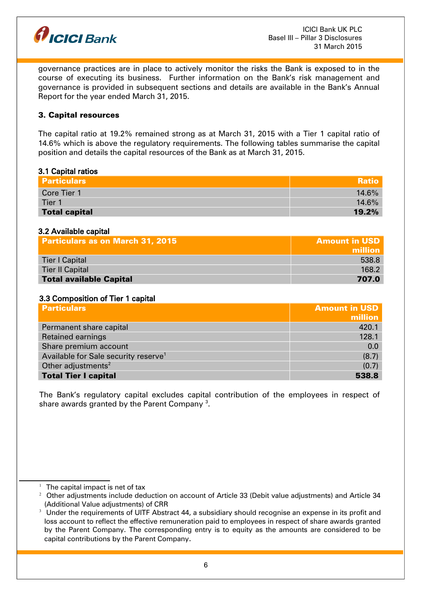

governance practices are in place to actively monitor the risks the Bank is exposed to in the course of executing its business. Further information on the Bank's risk management and governance is provided in subsequent sections and details are available in the Bank's Annual Report for the year ended March 31, 2015.

#### 3. Capital resources

The capital ratio at 19.2% remained strong as at March 31, 2015 with a Tier 1 capital ratio of 14.6% which is above the regulatory requirements. The following tables summarise the capital position and details the capital resources of the Bank as at March 31, 2015.

#### 3.1 Capital ratios

| <b>Particulars</b>   | <b>Ratio</b> |
|----------------------|--------------|
| Core Tier 1          | $14.6\%$     |
| Tier 1               | $14.6\%$     |
| <b>Total capital</b> | 19.2%        |

#### 3.2 Available capital

| <b>Particulars as on March 31, 2015</b> | <b>Amount in USD</b> |
|-----------------------------------------|----------------------|
|                                         | million              |
| Tier I Capital                          | 538.8                |
| <b>Tier II Capital</b>                  | 168.2                |
| <b>Total available Capital</b>          | 707.0                |

#### 3.3 Composition of Tier 1 capital

| <b>Particulars</b>                               | <b>Amount in USD</b> |
|--------------------------------------------------|----------------------|
|                                                  | million              |
| Permanent share capital                          | 420.1                |
| <b>Retained earnings</b>                         | 128.1                |
| Share premium account                            | 0.0                  |
| Available for Sale security reserve <sup>1</sup> | (8.7)                |
| Other adjustments <sup>2</sup>                   | (0.7)                |
| <b>Total Tier I capital</b>                      | 538.8                |

The Bank's regulatory capital excludes capital contribution of the employees in respect of share awards granted by the Parent Company  $^{\rm 3}$  $^{\rm 3}$  $^{\rm 3}$ .

<span id="page-5-0"></span> $1$  The capital impact is net of tax

<span id="page-5-1"></span> $2$  Other adjustments include deduction on account of Article 33 (Debit value adjustments) and Article 34 (Additional Value adjustments) of CRR

<span id="page-5-2"></span> $3$  Under the requirements of UITF Abstract 44, a subsidiary should recognise an expense in its profit and loss account to reflect the effective remuneration paid to employees in respect of share awards granted by the Parent Company. The corresponding entry is to equity as the amounts are considered to be capital contributions by the Parent Company.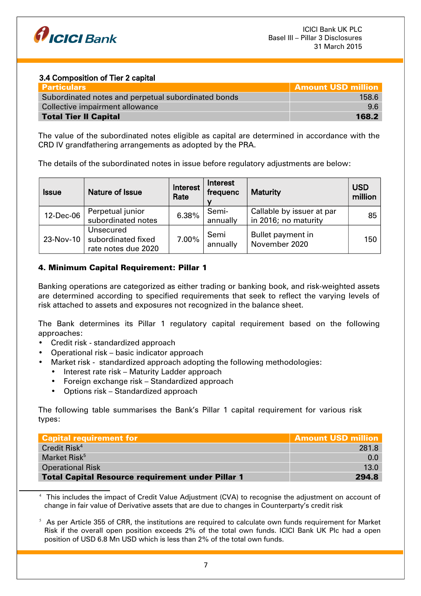

## 3.4 Composition of Tier 2 capital

| Particulars                                         | <b>Amount USD million</b> |
|-----------------------------------------------------|---------------------------|
| Subordinated notes and perpetual subordinated bonds | 158.6                     |
| Collective impairment allowance                     | $96$                      |
| <b>Total Tier II Capital</b>                        | 168.2                     |

The value of the subordinated notes eligible as capital are determined in accordance with the CRD IV grandfathering arrangements as adopted by the PRA.

The details of the subordinated notes in issue before regulatory adjustments are below:

| <b>Issue</b> | <b>Nature of Issue</b>                                 | Interest<br>Rate | Interest<br>frequenc | <b>Maturity</b>                                   | <b>USD</b><br>million |
|--------------|--------------------------------------------------------|------------------|----------------------|---------------------------------------------------|-----------------------|
| 12-Dec-06    | Perpetual junior<br>subordinated notes                 | 6.38%            | Semi-<br>annually    | Callable by issuer at par<br>in 2016; no maturity | 85 <sup>1</sup>       |
| 23-Nov-10    | Unsecured<br>subordinated fixed<br>rate notes due 2020 | 7.00%            | Semi<br>annually     | Bullet payment in<br>November 2020                | 150                   |

# 4. Minimum Capital Requirement: Pillar 1

Banking operations are categorized as either trading or banking book, and risk-weighted assets are determined according to specified requirements that seek to reflect the varying levels of risk attached to assets and exposures not recognized in the balance sheet.

The Bank determines its Pillar 1 regulatory capital requirement based on the following approaches:

- Credit risk standardized approach
- Operational risk basic indicator approach
- Market risk standardized approach adopting the following methodologies:
	- Interest rate risk Maturity Ladder approach
	- Foreign exchange risk Standardized approach
	- Options risk Standardized approach

The following table summarises the Bank's Pillar 1 capital requirement for various risk types:

| Capital requirement for                                  | <b>Amount USD million</b> |
|----------------------------------------------------------|---------------------------|
| Credit Risk <sup>4</sup>                                 | 281.8                     |
| Market Risk <sup>5</sup>                                 | 0.0                       |
| <b>Operational Risk</b>                                  | 13.0                      |
| <b>Total Capital Resource requirement under Pillar 1</b> | 294.8                     |

<span id="page-6-0"></span><sup>4</sup> This includes the impact of Credit Value Adjustment (CVA) to recognise the adjustment on account of change in fair value of Derivative assets that are due to changes in Counterparty's credit risk

<span id="page-6-1"></span> $5$  As per Article 355 of CRR, the institutions are required to calculate own funds requirement for Market Risk if the overall open position exceeds 2% of the total own funds. ICICI Bank UK Plc had a open position of USD 6.8 Mn USD which is less than 2% of the total own funds.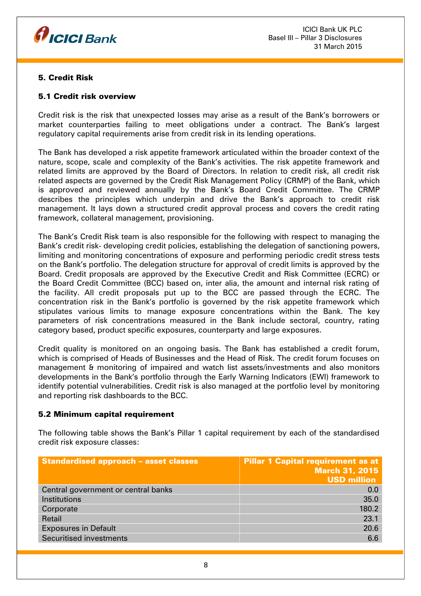

# 5. Credit Risk

## 5.1 Credit risk overview

Credit risk is the risk that unexpected losses may arise as a result of the Bank's borrowers or market counterparties failing to meet obligations under a contract. The Bank's largest regulatory capital requirements arise from credit risk in its lending operations.

The Bank has developed a risk appetite framework articulated within the broader context of the nature, scope, scale and complexity of the Bank's activities. The risk appetite framework and related limits are approved by the Board of Directors. In relation to credit risk, all credit risk related aspects are governed by the Credit Risk Management Policy (CRMP) of the Bank, which is approved and reviewed annually by the Bank's Board Credit Committee. The CRMP describes the principles which underpin and drive the Bank's approach to credit risk management. It lays down a structured credit approval process and covers the credit rating framework, collateral management, provisioning.

The Bank's Credit Risk team is also responsible for the following with respect to managing the Bank's credit risk- developing credit policies, establishing the delegation of sanctioning powers, limiting and monitoring concentrations of exposure and performing periodic credit stress tests on the Bank's portfolio. The delegation structure for approval of credit limits is approved by the Board. Credit proposals are approved by the Executive Credit and Risk Committee (ECRC) or the Board Credit Committee (BCC) based on, inter alia, the amount and internal risk rating of the facility. All credit proposals put up to the BCC are passed through the ECRC. The concentration risk in the Bank's portfolio is governed by the risk appetite framework which stipulates various limits to manage exposure concentrations within the Bank. The key parameters of risk concentrations measured in the Bank include sectoral, country, rating category based, product specific exposures, counterparty and large exposures.

Credit quality is monitored on an ongoing basis. The Bank has established a credit forum, which is comprised of Heads of Businesses and the Head of Risk. The credit forum focuses on management & monitoring of impaired and watch list assets/investments and also monitors developments in the Bank's portfolio through the Early Warning Indicators (EWI) framework to identify potential vulnerabilities. Credit risk is also managed at the portfolio level by monitoring and reporting risk dashboards to the BCC.

#### 5.2 Minimum capital requirement

The following table shows the Bank's Pillar 1 capital requirement by each of the standardised credit risk exposure classes:

| <b>Standardised approach - asset classes</b> | <b>Pillar 1 Capital requirement as at</b><br><b>March 31, 2015</b><br><b>USD million</b> |
|----------------------------------------------|------------------------------------------------------------------------------------------|
| Central government or central banks          | 0.0                                                                                      |
| Institutions                                 | 35.0                                                                                     |
| Corporate                                    | 180.2                                                                                    |
| Retail                                       | 23.1                                                                                     |
| <b>Exposures in Default</b>                  | 20.6                                                                                     |
| Securitised investments                      | 6.6                                                                                      |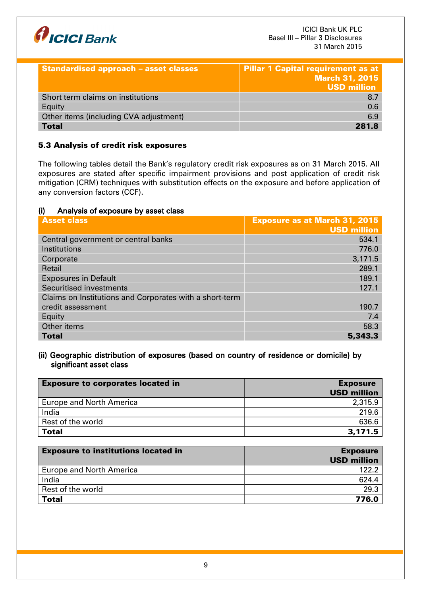

| <b>Standardised approach - asset classes</b> | <b>Pillar 1 Capital requirement as at</b><br><b>March 31, 2015</b><br><b>USD million</b> |
|----------------------------------------------|------------------------------------------------------------------------------------------|
| Short term claims on institutions            | 8.7                                                                                      |
| Equity                                       | 0.6                                                                                      |
| Other items (including CVA adjustment)       | 6.9                                                                                      |
| <b>Total</b>                                 | 281.8                                                                                    |

# 5.3 Analysis of credit risk exposures

The following tables detail the Bank's regulatory credit risk exposures as on 31 March 2015. All exposures are stated after specific impairment provisions and post application of credit risk mitigation (CRM) techniques with substitution effects on the exposure and before application of any conversion factors (CCF).

#### (i) Analysis of exposure by asset class

| <b>Asset class</b>                                      | <b>Exposure as at March 31, 2015</b><br><b>USD million</b> |
|---------------------------------------------------------|------------------------------------------------------------|
| Central government or central banks                     | 534.1                                                      |
| Institutions                                            | 776.0                                                      |
| Corporate                                               | 3,171.5                                                    |
| Retail                                                  | 289.1                                                      |
| <b>Exposures in Default</b>                             | 189.1                                                      |
| Securitised investments                                 | 127.1                                                      |
| Claims on Institutions and Corporates with a short-term |                                                            |
| credit assessment                                       | 190.7                                                      |
| Equity                                                  | 7.4                                                        |
| Other items                                             | 58.3                                                       |
| <b>Total</b>                                            | 5,343.3                                                    |

#### (ii) Geographic distribution of exposures (based on country of residence or domicile) by significant asset class

| <b>Exposure to corporates located in</b> | <b>Exposure</b>    |
|------------------------------------------|--------------------|
|                                          | <b>USD million</b> |
| <b>Europe and North America</b>          | 2,315.9            |
| India                                    | 219.6              |
| Rest of the world                        | 636.6              |
| <b>Total</b>                             | 3,171.5            |

| <b>Exposure to institutions located in</b> | <b>Exposure</b><br><b>USD million</b> |
|--------------------------------------------|---------------------------------------|
| <b>Europe and North America</b>            | 122.2                                 |
| India                                      | 624.4                                 |
| Rest of the world                          | 29.3                                  |
| <b>Total</b>                               | 776.0                                 |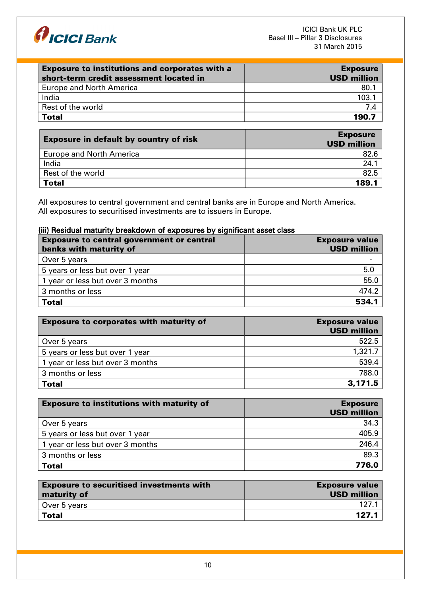

| <b>Exposure to institutions and corporates with a</b> | <b>Exposure</b>    |
|-------------------------------------------------------|--------------------|
| short-term credit assessment located in               | <b>USD million</b> |
| <b>Europe and North America</b>                       | 80.1               |
| India                                                 | 103.1              |
| Rest of the world                                     | 74                 |
| <b>Total</b>                                          | 190.7              |

| <b>Exposure in default by country of risk</b> | <b>Exposure</b><br><b>USD million</b> |
|-----------------------------------------------|---------------------------------------|
| <b>Europe and North America</b>               | 82.6                                  |
| India                                         | 24.                                   |
| Rest of the world                             | 82.5                                  |
| <b>Total</b>                                  | 189.1                                 |

All exposures to central government and central banks are in Europe and North America. All exposures to securitised investments are to issuers in Europe.

## (iii) Residual maturity breakdown of exposures by significant asset class

| <b>Exposure to central government or central</b><br>banks with maturity of | <b>Exposure value</b><br><b>USD million</b> |
|----------------------------------------------------------------------------|---------------------------------------------|
| Over 5 years                                                               |                                             |
| 5 years or less but over 1 year                                            | 5.0                                         |
| 1 year or less but over 3 months                                           | 55.0                                        |
| 3 months or less                                                           | 474.2                                       |
| <b>Total</b>                                                               | 534.1                                       |

| <b>Exposure to corporates with maturity of</b> | <b>Exposure value</b><br><b>USD million</b> |
|------------------------------------------------|---------------------------------------------|
| Over 5 years                                   | 522.5                                       |
| 5 years or less but over 1 year                | 1,321.7                                     |
| 1 year or less but over 3 months               | 539.4                                       |
| 3 months or less                               | 788.0                                       |
| <b>Total</b>                                   | 3,171.5                                     |

| <b>Exposure to institutions with maturity of</b> | <b>Exposure</b><br><b>USD million</b> |
|--------------------------------------------------|---------------------------------------|
| Over 5 years                                     | 34.3                                  |
| 5 years or less but over 1 year                  | 405.9                                 |
| 1 year or less but over 3 months                 | 246.4                                 |
| 3 months or less                                 | 89.3                                  |
| <b>Total</b>                                     | 776.0                                 |

| <b>Exposure to securitised investments with</b><br>maturity of | <b>Exposure value</b><br><b>USD million</b> |
|----------------------------------------------------------------|---------------------------------------------|
| Over 5 years                                                   | 127 1                                       |
| Total                                                          | 127.1                                       |
|                                                                |                                             |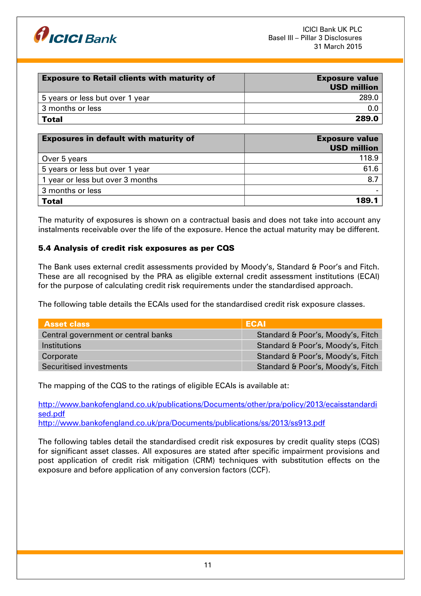

| <b>Exposure to Retail clients with maturity of</b> | <b>Exposure value</b><br><b>USD million</b> |
|----------------------------------------------------|---------------------------------------------|
| 5 years or less but over 1 year                    | 289.0                                       |
| 3 months or less                                   |                                             |
| Total                                              | 289.0                                       |

| <b>Exposures in default with maturity of</b> | <b>Exposure value</b><br><b>USD million</b> |
|----------------------------------------------|---------------------------------------------|
| Over 5 years                                 | 118.9                                       |
| 5 years or less but over 1 year              | 61.6                                        |
| 1 year or less but over 3 months             | 8.7                                         |
| 3 months or less                             |                                             |
| <b>Total</b>                                 | 189.1                                       |

The maturity of exposures is shown on a contractual basis and does not take into account any instalments receivable over the life of the exposure. Hence the actual maturity may be different.

## 5.4 Analysis of credit risk exposures as per CQS

The Bank uses external credit assessments provided by Moody's, Standard & Poor's and Fitch. These are all recognised by the PRA as eligible external credit assessment institutions (ECAI) for the purpose of calculating credit risk requirements under the standardised approach.

The following table details the ECAIs used for the standardised credit risk exposure classes.

| <b>Asset class</b>                  | <b>ECAI</b>                       |
|-------------------------------------|-----------------------------------|
| Central government or central banks | Standard & Poor's, Moody's, Fitch |
| <i><u><b>Institutions</b></u></i>   | Standard & Poor's, Moody's, Fitch |
| Corporate                           | Standard & Poor's, Moody's, Fitch |
| Securitised investments             | Standard & Poor's, Moody's, Fitch |

The mapping of the CQS to the ratings of eligible ECAIs is available at:

[http://www.bankofengland.co.uk/publications/Documents/other/pra/policy/2013/ecaisstandardi](http://www.bankofengland.co.uk/publications/Documents/other/pra/policy/2013/ecaisstandardised.pdf) [sed.pdf](http://www.bankofengland.co.uk/publications/Documents/other/pra/policy/2013/ecaisstandardised.pdf) <http://www.bankofengland.co.uk/pra/Documents/publications/ss/2013/ss913.pdf>

The following tables detail the standardised credit risk exposures by credit quality steps (CQS) for significant asset classes. All exposures are stated after specific impairment provisions and post application of credit risk mitigation (CRM) techniques with substitution effects on the exposure and before application of any conversion factors (CCF).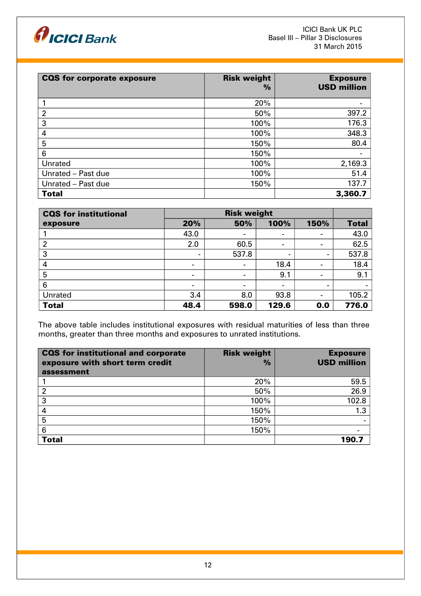

| <b>CQS for corporate exposure</b> | <b>Risk weight</b><br>$\frac{0}{0}$ | <b>Exposure</b><br><b>USD million</b> |
|-----------------------------------|-------------------------------------|---------------------------------------|
|                                   | 20%                                 |                                       |
| $\overline{2}$                    | 50%                                 | 397.2                                 |
| 3                                 | 100%                                | 176.3                                 |
| 4                                 | 100%                                | 348.3                                 |
| 5                                 | 150%                                | 80.4                                  |
| 6                                 | 150%                                |                                       |
| Unrated                           | 100%                                | 2,169.3                               |
| Unrated - Past due                | 100%                                | 51.4                                  |
| Unrated - Past due                | 150%                                | 137.7                                 |
| <b>Total</b>                      |                                     | 3,360.7                               |

| <b>CQS</b> for institutional | <b>Risk weight</b>       |                 |       |                          |              |
|------------------------------|--------------------------|-----------------|-------|--------------------------|--------------|
| exposure                     | 20%                      | 50%             | 100%  | 150%                     | <b>Total</b> |
|                              | 43.0                     | $\blacksquare$  | $\,$  | $\overline{\phantom{a}}$ | 43.0         |
| 2                            | 2.0                      | 60.5            |       | $\overline{\phantom{0}}$ | 62.5         |
| 3                            | -                        | 537.8           | $\,$  | $\qquad \qquad$          | 537.8        |
| 4                            | $\overline{\phantom{a}}$ | $\qquad \qquad$ | 18.4  | $\blacksquare$           | 18.4         |
| 5                            | $\overline{\phantom{a}}$ | $\blacksquare$  | 9.1   | -                        | 9.1          |
| 6                            | $\overline{\phantom{a}}$ |                 |       | $\overline{\phantom{0}}$ |              |
| Unrated                      | 3.4                      | 8.0             | 93.8  | $\overline{\phantom{a}}$ | 105.2        |
| <b>Total</b>                 | 48.4                     | 598.0           | 129.6 | 0.0                      | 776.0        |

The above table includes institutional exposures with residual maturities of less than three months, greater than three months and exposures to unrated institutions.

| <b>CQS</b> for institutional and corporate<br>exposure with short term credit<br>assessment | <b>Risk weight</b><br>$\frac{0}{0}$ | <b>Exposure</b><br><b>USD million</b> |
|---------------------------------------------------------------------------------------------|-------------------------------------|---------------------------------------|
|                                                                                             | 20%                                 | 59.5                                  |
|                                                                                             | 50%                                 | 26.9                                  |
| 3                                                                                           | 100%                                | 102.8                                 |
| 4                                                                                           | 150%                                | 1.3                                   |
| 5                                                                                           | 150%                                |                                       |
| 6                                                                                           | 150%                                |                                       |
| <b>Total</b>                                                                                |                                     | 190.7                                 |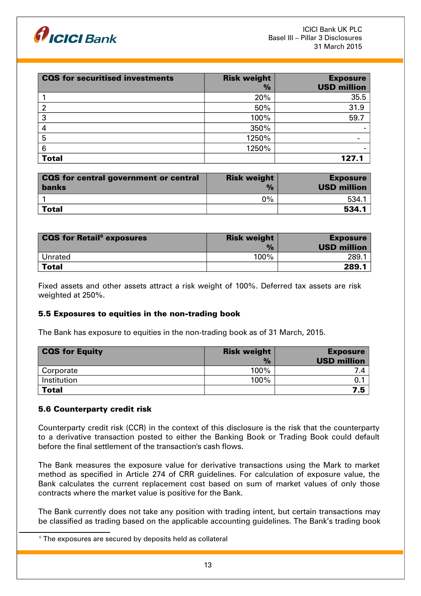

| <b>CQS</b> for securitised investments | <b>Risk weight</b><br>$\frac{9}{6}$ | <b>Exposure</b><br><b>USD million</b> |
|----------------------------------------|-------------------------------------|---------------------------------------|
|                                        | 20%                                 | 35.5                                  |
| 2                                      | 50%                                 | 31.9                                  |
| 3                                      | 100%                                | 59.7                                  |
| 4                                      | 350%                                |                                       |
| 5                                      | 1250%                               |                                       |
| 6                                      | 1250%                               |                                       |
| <b>Total</b>                           |                                     | 127.1                                 |

| <b>CQS for central government or central</b><br><b>banks</b> | <b>Risk weight</b><br>$\frac{1}{2}$ | <b>Exposure</b><br><b>USD million</b> |
|--------------------------------------------------------------|-------------------------------------|---------------------------------------|
|                                                              | $0\%$                               | 534.1                                 |
| Total                                                        |                                     | 534.1                                 |

| <b>CQS for Retail</b> <sup>6</sup> exposures | <b>Risk weight</b><br>$\frac{1}{2}$ | <b>Exposure</b><br><b>USD million</b> |
|----------------------------------------------|-------------------------------------|---------------------------------------|
| Unrated                                      | 100%                                | 289.                                  |
| <b>Total</b>                                 |                                     | 289.1                                 |

Fixed assets and other assets attract a risk weight of 100%. Deferred tax assets are risk weighted at 250%.

#### 5.5 Exposures to equities in the non-trading book

The Bank has exposure to equities in the non-trading book as of 31 March, 2015.

| <b>CQS for Equity</b> | <b>Risk weight</b> | <b>Exposure</b>    |
|-----------------------|--------------------|--------------------|
|                       | $\frac{0}{0}$      | <b>USD million</b> |
| Corporate             | 100%               |                    |
| Institution           | 100%               |                    |
| <b>Total</b>          |                    | 7.5                |

#### 5.6 Counterparty credit risk

Counterparty credit risk (CCR) in the context of this disclosure is the risk that the counterparty to a derivative transaction posted to either the Banking Book or Trading Book could default before the final settlement of the transaction's cash flows.

The Bank measures the exposure value for derivative transactions using the Mark to market method as specified in Article 274 of CRR guidelines. For calculation of exposure value, the Bank calculates the current replacement cost based on sum of market values of only those contracts where the market value is positive for the Bank.

The Bank currently does not take any position with trading intent, but certain transactions may be classified as trading based on the applicable accounting guidelines. The Bank's trading book

<span id="page-12-0"></span> $6$  The exposures are secured by deposits held as collateral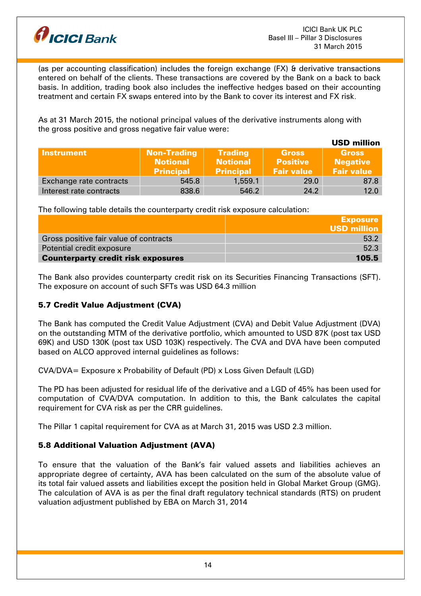

(as per accounting classification) includes the foreign exchange (FX) & derivative transactions entered on behalf of the clients. These transactions are covered by the Bank on a back to back basis. In addition, trading book also includes the ineffective hedges based on their accounting treatment and certain FX swaps entered into by the Bank to cover its interest and FX risk.

As at 31 March 2015, the notional principal values of the derivative instruments along with the gross positive and gross negative fair value were:

|                         |                                                           |                                                       |                                                      | <b>USD million</b>                                   |
|-------------------------|-----------------------------------------------------------|-------------------------------------------------------|------------------------------------------------------|------------------------------------------------------|
| <b>Instrument</b>       | <b>Non-Trading</b><br><b>Notional</b><br><b>Principal</b> | <b>Trading</b><br><b>Notional</b><br><b>Principal</b> | <b>Gross</b><br><b>Positive</b><br><b>Fair value</b> | <b>Gross</b><br><b>Negative</b><br><b>Fair value</b> |
| Exchange rate contracts | 545.8                                                     | 1,559.1                                               | 29.0                                                 | 87.8                                                 |
| Interest rate contracts | 838.6                                                     | 546.2                                                 | 24.2                                                 | 12.0                                                 |

The following table details the counterparty credit risk exposure calculation:

|                                           | <b>Exposure</b>    |
|-------------------------------------------|--------------------|
|                                           | <b>USD million</b> |
| Gross positive fair value of contracts    | 53.2               |
| Potential credit exposure                 | 52.3               |
| <b>Counterparty credit risk exposures</b> | 105.5              |

The Bank also provides counterparty credit risk on its Securities Financing Transactions (SFT). The exposure on account of such SFTs was USD 64.3 million

# 5.7 Credit Value Adjustment (CVA)

The Bank has computed the Credit Value Adjustment (CVA) and Debit Value Adjustment (DVA) on the outstanding MTM of the derivative portfolio, which amounted to USD 87K (post tax USD 69K) and USD 130K (post tax USD 103K) respectively. The CVA and DVA have been computed based on ALCO approved internal guidelines as follows:

CVA/DVA= Exposure x Probability of Default (PD) x Loss Given Default (LGD)

The PD has been adjusted for residual life of the derivative and a LGD of 45% has been used for computation of CVA/DVA computation. In addition to this, the Bank calculates the capital requirement for CVA risk as per the CRR guidelines.

The Pillar 1 capital requirement for CVA as at March 31, 2015 was USD 2.3 million.

# 5.8 Additional Valuation Adjustment (AVA)

To ensure that the valuation of the Bank's fair valued assets and liabilities achieves an appropriate degree of certainty, AVA has been calculated on the sum of the absolute value of its total fair valued assets and liabilities except the position held in Global Market Group (GMG). The calculation of AVA is as per the final draft regulatory technical standards (RTS) on prudent valuation adjustment published by EBA on March 31, 2014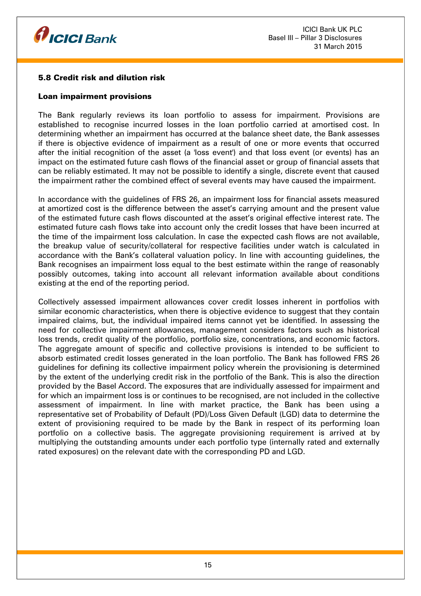

## 5.8 Credit risk and dilution risk

#### Loan impairment provisions

The Bank regularly reviews its loan portfolio to assess for impairment. Provisions are established to recognise incurred losses in the loan portfolio carried at amortised cost. In determining whether an impairment has occurred at the balance sheet date, the Bank assesses if there is objective evidence of impairment as a result of one or more events that occurred after the initial recognition of the asset (a 'loss event') and that loss event (or events) has an impact on the estimated future cash flows of the financial asset or group of financial assets that can be reliably estimated. It may not be possible to identify a single, discrete event that caused the impairment rather the combined effect of several events may have caused the impairment.

In accordance with the guidelines of FRS 26, an impairment loss for financial assets measured at amortized cost is the difference between the asset's carrying amount and the present value of the estimated future cash flows discounted at the asset's original effective interest rate. The estimated future cash flows take into account only the credit losses that have been incurred at the time of the impairment loss calculation. In case the expected cash flows are not available, the breakup value of security/collateral for respective facilities under watch is calculated in accordance with the Bank's collateral valuation policy. In line with accounting guidelines, the Bank recognises an impairment loss equal to the best estimate within the range of reasonably possibly outcomes, taking into account all relevant information available about conditions existing at the end of the reporting period.

Collectively assessed impairment allowances cover credit losses inherent in portfolios with similar economic characteristics, when there is objective evidence to suggest that they contain impaired claims, but, the individual impaired items cannot yet be identified. In assessing the need for collective impairment allowances, management considers factors such as historical loss trends, credit quality of the portfolio, portfolio size, concentrations, and economic factors. The aggregate amount of specific and collective provisions is intended to be sufficient to absorb estimated credit losses generated in the loan portfolio. The Bank has followed FRS 26 guidelines for defining its collective impairment policy wherein the provisioning is determined by the extent of the underlying credit risk in the portfolio of the Bank. This is also the direction provided by the Basel Accord. The exposures that are individually assessed for impairment and for which an impairment loss is or continues to be recognised, are not included in the collective assessment of impairment. In line with market practice, the Bank has been using a representative set of Probability of Default (PD)/Loss Given Default (LGD) data to determine the extent of provisioning required to be made by the Bank in respect of its performing loan portfolio on a collective basis. The aggregate provisioning requirement is arrived at by multiplying the outstanding amounts under each portfolio type (internally rated and externally rated exposures) on the relevant date with the corresponding PD and LGD.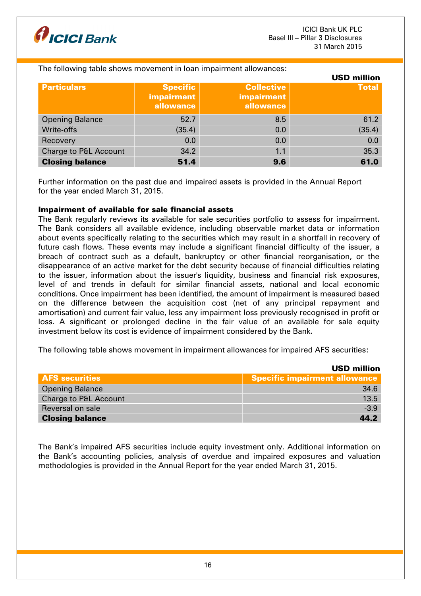

#### The following table shows movement in loan impairment allowances:

|                                  |                                                     |                                                     | <b>USD million</b> |
|----------------------------------|-----------------------------------------------------|-----------------------------------------------------|--------------------|
| <b>Particulars</b>               | <b>Specific</b><br>impairment<br>allowance <b>b</b> | <b>Collective</b><br><b>impairment</b><br>allowance | <b>Total</b>       |
| <b>Opening Balance</b>           | 52.7                                                | 8.5                                                 | 61.2               |
| Write-offs                       | (35.4)                                              | 0.0                                                 | (35.4)             |
| Recovery                         | 0.0                                                 | 0.0                                                 | 0.0                |
| <b>Charge to P&amp;L Account</b> | 34.2                                                | 1.1                                                 | 35.3               |
| <b>Closing balance</b>           | 51.4                                                | 9.6                                                 | 61.0               |

Further information on the past due and impaired assets is provided in the Annual Report for the year ended March 31, 2015.

#### Impairment of available for sale financial assets

The Bank regularly reviews its available for sale securities portfolio to assess for impairment. The Bank considers all available evidence, including observable market data or information about events specifically relating to the securities which may result in a shortfall in recovery of future cash flows. These events may include a significant financial difficulty of the issuer, a breach of contract such as a default, bankruptcy or other financial reorganisation, or the disappearance of an active market for the debt security because of financial difficulties relating to the issuer, information about the issuer's liquidity, business and financial risk exposures, level of and trends in default for similar financial assets, national and local economic conditions. Once impairment has been identified, the amount of impairment is measured based on the difference between the acquisition cost (net of any principal repayment and amortisation) and current fair value, less any impairment loss previously recognised in profit or loss. A significant or prolonged decline in the fair value of an available for sale equity investment below its cost is evidence of impairment considered by the Bank.

The following table shows movement in impairment allowances for impaired AFS securities:

|                        | <b>USD million</b>            |
|------------------------|-------------------------------|
| <b>AFS</b> securities  | Specific impairment allowance |
| <b>Opening Balance</b> | 34.6                          |
| Charge to P&L Account  | 13.5                          |
| Reversal on sale       | $-3.9$                        |
| <b>Closing balance</b> | 44.2                          |

The Bank's impaired AFS securities include equity investment only. Additional information on the Bank's accounting policies, analysis of overdue and impaired exposures and valuation methodologies is provided in the Annual Report for the year ended March 31, 2015.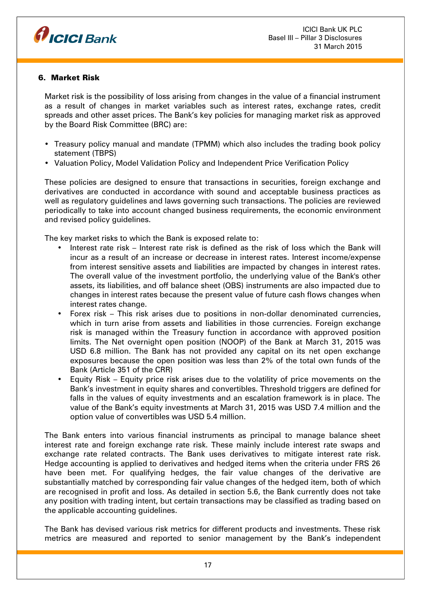

# 6. Market Risk

Market risk is the possibility of loss arising from changes in the value of a financial instrument as a result of changes in market variables such as interest rates, exchange rates, credit spreads and other asset prices. The Bank's key policies for managing market risk as approved by the Board Risk Committee (BRC) are:

- Treasury policy manual and mandate (TPMM) which also includes the trading book policy statement (TBPS)
- Valuation Policy, Model Validation Policy and Independent Price Verification Policy

These policies are designed to ensure that transactions in securities, foreign exchange and derivatives are conducted in accordance with sound and acceptable business practices as well as regulatory guidelines and laws governing such transactions. The policies are reviewed periodically to take into account changed business requirements, the economic environment and revised policy guidelines.

The key market risks to which the Bank is exposed relate to:

- Interest rate risk Interest rate risk is defined as the risk of loss which the Bank will incur as a result of an increase or decrease in interest rates. Interest income/expense from interest sensitive assets and liabilities are impacted by changes in interest rates. The overall value of the investment portfolio, the underlying value of the Bank's other assets, its liabilities, and off balance sheet (OBS) instruments are also impacted due to changes in interest rates because the present value of future cash flows changes when interest rates change.
- Forex risk This risk arises due to positions in non-dollar denominated currencies, which in turn arise from assets and liabilities in those currencies. Foreign exchange risk is managed within the Treasury function in accordance with approved position limits. The Net overnight open position (NOOP) of the Bank at March 31, 2015 was USD 6.8 million. The Bank has not provided any capital on its net open exchange exposures because the open position was less than 2% of the total own funds of the Bank (Article 351 of the CRR)
- Equity Risk Equity price risk arises due to the volatility of price movements on the Bank's investment in equity shares and convertibles. Threshold triggers are defined for falls in the values of equity investments and an escalation framework is in place. The value of the Bank's equity investments at March 31, 2015 was USD 7.4 million and the option value of convertibles was USD 5.4 million.

The Bank enters into various financial instruments as principal to manage balance sheet interest rate and foreign exchange rate risk. These mainly include interest rate swaps and exchange rate related contracts. The Bank uses derivatives to mitigate interest rate risk. Hedge accounting is applied to derivatives and hedged items when the criteria under FRS 26 have been met. For qualifying hedges, the fair value changes of the derivative are substantially matched by corresponding fair value changes of the hedged item, both of which are recognised in profit and loss. As detailed in section 5.6, the Bank currently does not take any position with trading intent, but certain transactions may be classified as trading based on the applicable accounting guidelines.

The Bank has devised various risk metrics for different products and investments. These risk metrics are measured and reported to senior management by the Bank's independent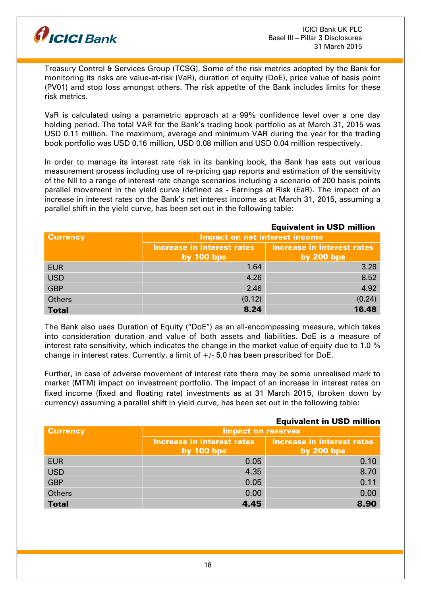

Treasury Control & Services Group (TCSG). Some of the risk metrics adopted by the Bank for monitoring its risks are value-at-risk (VaR), duration of equity (DoE), price value of basis point (PV01) and stop loss amongst others. The risk appetite of the Bank includes limits for these risk metrics.

VaR is calculated using a parametric approach at a 99% confidence level over a one day holding period. The total VAR for the Bank's trading book portfolio as at March 31, 2015 was USD 0.11 million. The maximum, average and minimum VAR during the year for the trading book portfolio was USD 0.16 million, USD 0.08 million and USD 0.04 million respectively.

In order to manage its interest rate risk in its banking book, the Bank has sets out various measurement process including use of re-pricing gap reports and estimation of the sensitivity of the NII to a range of interest rate change scenarios including a scenario of 200 basis points parallel movement in the yield curve (defined as - Earnings at Risk (EaR). The impact of an increase in interest rates on the Bank's net interest income as at March 31, 2015, assuming a parallel shift in the yield curve, has been set out in the following table:

|                 | <b>Equivalent in USD million</b>                                |            |  |
|-----------------|-----------------------------------------------------------------|------------|--|
| <b>Currency</b> | <b>Impact on net interest income</b>                            |            |  |
|                 | <b>Increase in interest rates</b><br>Increase in interest rates |            |  |
|                 | by $100$ bps                                                    | by 200 bps |  |
| <b>EUR</b>      | 1.64                                                            | 3.28       |  |
| <b>USD</b>      | 4.26                                                            | 8.52       |  |
| <b>GBP</b>      | 2.46                                                            | 4.92       |  |
| <b>Others</b>   | (0.12)                                                          | (0.24)     |  |
| <b>Total</b>    | 8.24                                                            | 16.48      |  |

The Bank also uses Duration of Equity ("DoE") as an all-encompassing measure, which takes into consideration duration and value of both assets and liabilities. DoE is a measure of interest rate sensitivity, which indicates the change in the market value of equity due to 1.0  $\%$ change in interest rates. Currently, a limit of  $+/$ -5.0 has been prescribed for DoE.

Further, in case of adverse movement of interest rate there may be some unrealised mark to market (MTM) impact on investment portfolio. The impact of an increase in interest rates on fixed income (fixed and floating rate) investments as at 31 March 2015, (broken down by currency) assuming a parallel shift in yield curve, has been set out in the following table:

|                 | <b>Equivalent in USD million</b>           |                                                   |  |
|-----------------|--------------------------------------------|---------------------------------------------------|--|
| <b>Currency</b> | <b>Impact on reserves</b>                  |                                                   |  |
|                 | Increase in interest rates<br>by $100$ bps | <b>Increase in interest rates</b><br>by $200$ bps |  |
| <b>EUR</b>      | 0.05                                       | 0.10                                              |  |
| <b>USD</b>      | 4.35                                       | 8.70                                              |  |
| <b>GBP</b>      | 0.05                                       | 0.11                                              |  |
| <b>Others</b>   | 0.00                                       | 0.00                                              |  |
| <b>Total</b>    | 4.45                                       | 8.90                                              |  |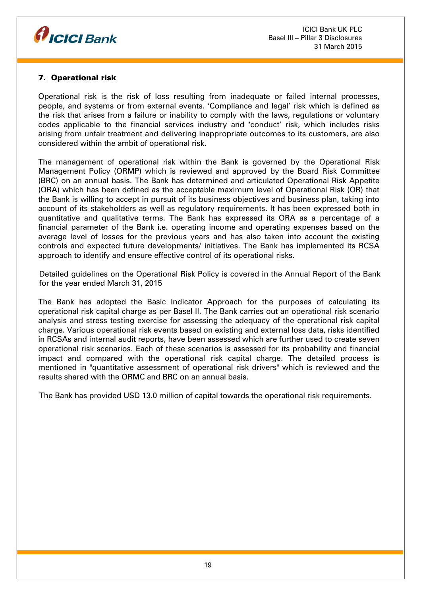

# 7. Operational risk

Operational risk is the risk of loss resulting from inadequate or failed internal processes, people, and systems or from external events. 'Compliance and legal' risk which is defined as the risk that arises from a failure or inability to comply with the laws, regulations or voluntary codes applicable to the financial services industry and 'conduct' risk, which includes risks arising from unfair treatment and delivering inappropriate outcomes to its customers, are also considered within the ambit of operational risk.

The management of operational risk within the Bank is governed by the Operational Risk Management Policy (ORMP) which is reviewed and approved by the Board Risk Committee (BRC) on an annual basis. The Bank has determined and articulated Operational Risk Appetite (ORA) which has been defined as the acceptable maximum level of Operational Risk (OR) that the Bank is willing to accept in pursuit of its business objectives and business plan, taking into account of its stakeholders as well as regulatory requirements. It has been expressed both in quantitative and qualitative terms. The Bank has expressed its ORA as a percentage of a financial parameter of the Bank i.e. operating income and operating expenses based on the average level of losses for the previous years and has also taken into account the existing controls and expected future developments/ initiatives. The Bank has implemented its RCSA approach to identify and ensure effective control of its operational risks.

Detailed guidelines on the Operational Risk Policy is covered in the Annual Report of the Bank for the year ended March 31, 2015

The Bank has adopted the Basic Indicator Approach for the purposes of calculating its operational risk capital charge as per Basel II. The Bank carries out an operational risk scenario analysis and stress testing exercise for assessing the adequacy of the operational risk capital charge. Various operational risk events based on existing and external loss data, risks identified in RCSAs and internal audit reports, have been assessed which are further used to create seven operational risk scenarios. Each of these scenarios is assessed for its probability and financial impact and compared with the operational risk capital charge. The detailed process is mentioned in "quantitative assessment of operational risk drivers" which is reviewed and the results shared with the ORMC and BRC on an annual basis.

The Bank has provided USD 13.0 million of capital towards the operational risk requirements.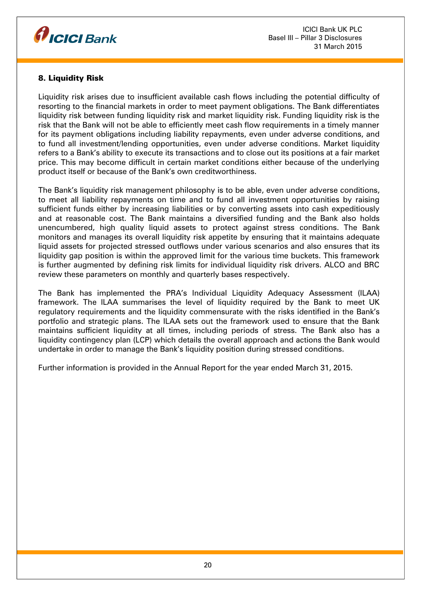

# 8. Liquidity Risk

Liquidity risk arises due to insufficient available cash flows including the potential difficulty of resorting to the financial markets in order to meet payment obligations. The Bank differentiates liquidity risk between funding liquidity risk and market liquidity risk. Funding liquidity risk is the risk that the Bank will not be able to efficiently meet cash flow requirements in a timely manner for its payment obligations including liability repayments, even under adverse conditions, and to fund all investment/lending opportunities, even under adverse conditions. Market liquidity refers to a Bank's ability to execute its transactions and to close out its positions at a fair market price. This may become difficult in certain market conditions either because of the underlying product itself or because of the Bank's own creditworthiness.

The Bank's liquidity risk management philosophy is to be able, even under adverse conditions, to meet all liability repayments on time and to fund all investment opportunities by raising sufficient funds either by increasing liabilities or by converting assets into cash expeditiously and at reasonable cost. The Bank maintains a diversified funding and the Bank also holds unencumbered, high quality liquid assets to protect against stress conditions. The Bank monitors and manages its overall liquidity risk appetite by ensuring that it maintains adequate liquid assets for projected stressed outflows under various scenarios and also ensures that its liquidity gap position is within the approved limit for the various time buckets. This framework is further augmented by defining risk limits for individual liquidity risk drivers. ALCO and BRC review these parameters on monthly and quarterly bases respectively.

The Bank has implemented the PRA's Individual Liquidity Adequacy Assessment (ILAA) framework. The ILAA summarises the level of liquidity required by the Bank to meet UK regulatory requirements and the liquidity commensurate with the risks identified in the Bank's portfolio and strategic plans. The ILAA sets out the framework used to ensure that the Bank maintains sufficient liquidity at all times, including periods of stress. The Bank also has a liquidity contingency plan (LCP) which details the overall approach and actions the Bank would undertake in order to manage the Bank's liquidity position during stressed conditions.

Further information is provided in the Annual Report for the year ended March 31, 2015.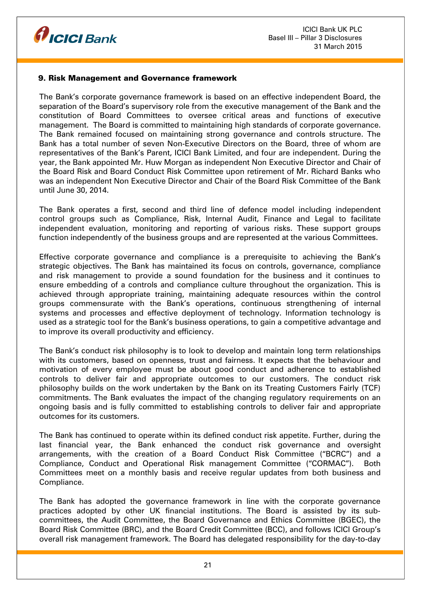

#### 9. Risk Management and Governance framework

The Bank's corporate governance framework is based on an effective independent Board, the separation of the Board's supervisory role from the executive management of the Bank and the constitution of Board Committees to oversee critical areas and functions of executive management. The Board is committed to maintaining high standards of corporate governance. The Bank remained focused on maintaining strong governance and controls structure. The Bank has a total number of seven Non-Executive Directors on the Board, three of whom are representatives of the Bank's Parent, ICICI Bank Limited, and four are independent. During the year, the Bank appointed Mr. Huw Morgan as independent Non Executive Director and Chair of the Board Risk and Board Conduct Risk Committee upon retirement of Mr. Richard Banks who was an independent Non Executive Director and Chair of the Board Risk Committee of the Bank until June 30, 2014.

The Bank operates a first, second and third line of defence model including independent control groups such as Compliance, Risk, Internal Audit, Finance and Legal to facilitate independent evaluation, monitoring and reporting of various risks. These support groups function independently of the business groups and are represented at the various Committees.

Effective corporate governance and compliance is a prerequisite to achieving the Bank's strategic objectives. The Bank has maintained its focus on controls, governance, compliance and risk management to provide a sound foundation for the business and it continues to ensure embedding of a controls and compliance culture throughout the organization. This is achieved through appropriate training, maintaining adequate resources within the control groups commensurate with the Bank's operations, continuous strengthening of internal systems and processes and effective deployment of technology. Information technology is used as a strategic tool for the Bank's business operations, to gain a competitive advantage and to improve its overall productivity and efficiency.

The Bank's conduct risk philosophy is to look to develop and maintain long term relationships with its customers, based on openness, trust and fairness. It expects that the behaviour and motivation of every employee must be about good conduct and adherence to established controls to deliver fair and appropriate outcomes to our customers. The conduct risk philosophy builds on the work undertaken by the Bank on its Treating Customers Fairly (TCF) commitments. The Bank evaluates the impact of the changing regulatory requirements on an ongoing basis and is fully committed to establishing controls to deliver fair and appropriate outcomes for its customers.

The Bank has continued to operate within its defined conduct risk appetite. Further, during the last financial year, the Bank enhanced the conduct risk governance and oversight arrangements, with the creation of a Board Conduct Risk Committee ("BCRC") and a Compliance, Conduct and Operational Risk management Committee ("CORMAC"). Both Committees meet on a monthly basis and receive regular updates from both business and Compliance.

The Bank has adopted the governance framework in line with the corporate governance practices adopted by other UK financial institutions. The Board is assisted by its subcommittees, the Audit Committee, the Board Governance and Ethics Committee (BGEC), the Board Risk Committee (BRC), and the Board Credit Committee (BCC), and follows ICICI Group's overall risk management framework. The Board has delegated responsibility for the day-to-day